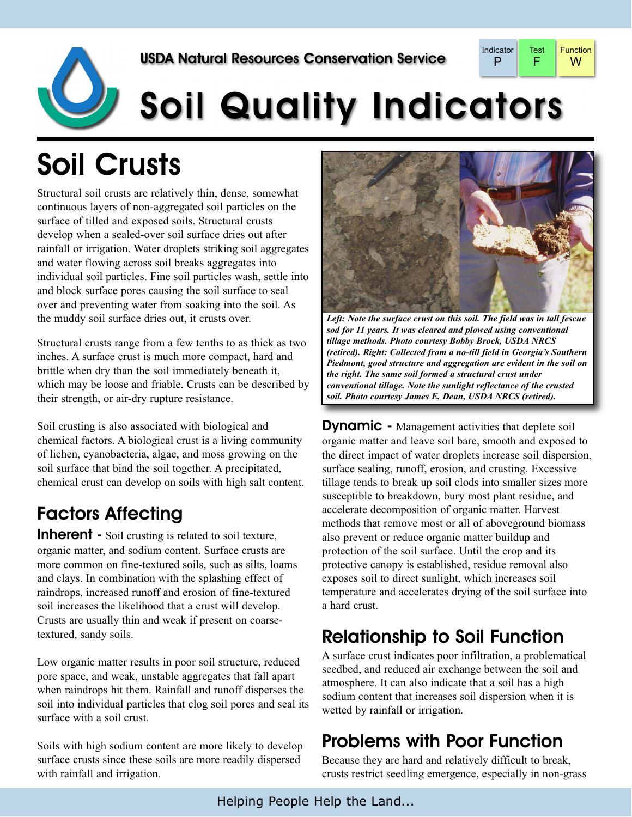

# **Soil Quality Indicators**

## Soil Crusts

Structural soil crusts are relatively thin, dense, somewhat continuous layers of non-aggregated soil particles on the surface of tilled and exposed soils. Structural crusts develop when a sealed-over soil surface dries out after rainfall or irrigation. Water droplets striking soil aggregates and water flowing across soil breaks aggregates into individual soil particles. Fine soil particles wash, settle into and block surface pores causing the soil surface to seal over and preventing water from soaking into the soil. As the muddy soil surface dries out, it crusts over.

Structural crusts range from a few tenths to as thick as two inches. A surface crust is much more compact, hard and brittle when dry than the soil immediately beneath it, which may be loose and friable. Crusts can be described by their strength, or air-dry rupture resistance.

Soil crusting is also associated with biological and chemical factors. A biological crust is a living community of lichen, cyanobacteria, algae, and moss growing on the soil surface that bind the soil together. A precipitated, chemical crust can develop on soils with high salt content.

### Factors Affecting

**Inherent** - Soil crusting is related to soil texture, organic matter, and sodium content. Surface crusts are more common on fine-textured soils, such as silts, loams and clays. In combination with the splashing effect of raindrops, increased runoff and erosion of fine-textured soil increases the likelihood that a crust will develop. Crusts are usually thin and weak if present on coarsetextured, sandy soils.

Low organic matter results in poor soil structure, reduced pore space, and weak, unstable aggregates that fall apart when raindrops hit them. Rainfall and runoff disperses the soil into individual particles that clog soil pores and seal its surface with a soil crust.

Soils with high sodium content are more likely to develop surface crusts since these soils are more readily dispersed with rainfall and irrigation.



*Left: Note the surface crust on this soil. The field was in tall fescue sod for 11 years. It was cleared and plowed using conventional tillage methods. Photo courtesy Bobby Brock, USDA NRCS (retired). Right: Collected from a no-till field in Georgia's Southern Piedmont, good structure and aggregation are evident in the soil on the right. The same soil formed a structural crust under conventional tillage. Note the sunlight reflectance of the crusted soil. Photo courtesy James E. Dean, USDA NRCS (retired).*

**Dynamic** - Management activities that deplete soil organic matter and leave soil bare, smooth and exposed to the direct impact of water droplets increase soil dispersion, surface sealing, runoff, erosion, and crusting. Excessive tillage tends to break up soil clods into smaller sizes more susceptible to breakdown, bury most plant residue, and accelerate decomposition of organic matter. Harvest methods that remove most or all of aboveground biomass also prevent or reduce organic matter buildup and protection of the soil surface. Until the crop and its protective canopy is established, residue removal also exposes soil to direct sunlight, which increases soil temperature and accelerates drying of the soil surface into a hard crust.

#### Relationship to Soil Function

A surface crust indicates poor infiltration, a problematical seedbed, and reduced air exchange between the soil and atmosphere. It can also indicate that a soil has a high sodium content that increases soil dispersion when it is wetted by rainfall or irrigation.

#### Problems with Poor Function

Because they are hard and relatively difficult to break, crusts restrict seedling emergence, especially in non-grass